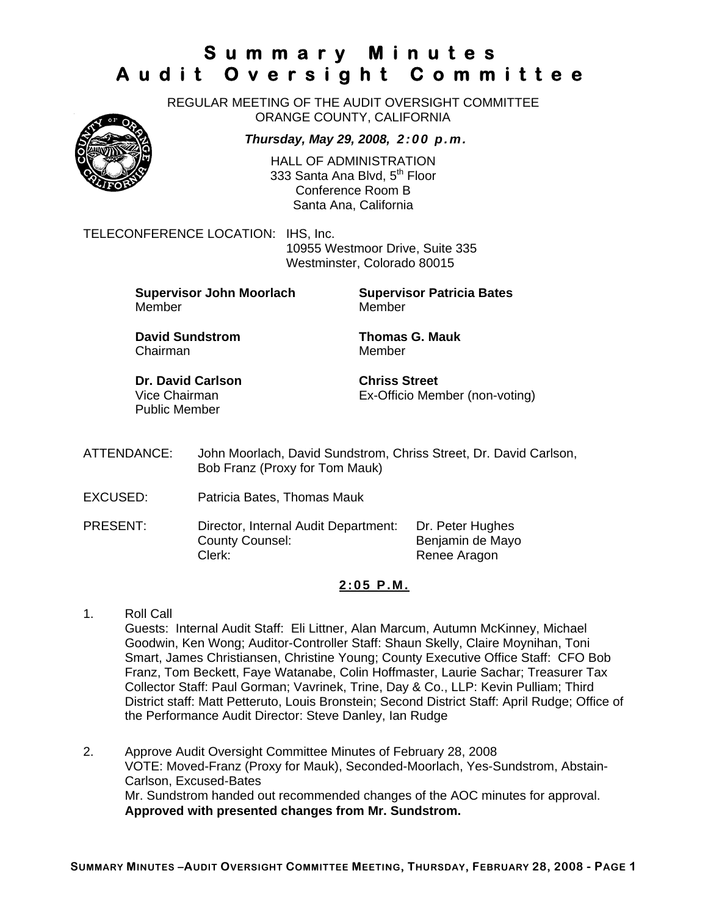REGULAR MEETING OF THE AUDIT OVERSIGHT COMMITTEE ORANGE COUNTY, CALIFORNIA

*Thursday, May 29, 2008, 2:00 p.m.*

HALL OF ADMINISTRATION 333 Santa Ana Blvd, 5<sup>th</sup> Floor Conference Room B Santa Ana, California

TELECONFERENCE LOCATION: IHS, Inc.

 10955 Westmoor Drive, Suite 335 Westminster, Colorado 80015

**Supervisor John Moorlach Supervisor Patricia Bates** Member Member

**David Sundstrom Thomas G. Mauk**  Chairman Member

**Dr. David Carlson Chriss Street** Public Member

Vice Chairman Ex-Officio Member (non-voting)

- ATTENDANCE: John Moorlach, David Sundstrom, Chriss Street, Dr. David Carlson, Bob Franz (Proxy for Tom Mauk)
- EXCUSED: Patricia Bates, Thomas Mauk
- PRESENT: Director, Internal Audit Department: Dr. Peter Hughes County Counsel: Benjamin de Mayo Clerk: Clerk: Renee Aragon

#### **2:05 P.M.**

- 1. Roll Call Guests: Internal Audit Staff: Eli Littner, Alan Marcum, Autumn McKinney, Michael Goodwin, Ken Wong; Auditor-Controller Staff: Shaun Skelly, Claire Moynihan, Toni Smart, James Christiansen, Christine Young; County Executive Office Staff: CFO Bob Franz, Tom Beckett, Faye Watanabe, Colin Hoffmaster, Laurie Sachar; Treasurer Tax Collector Staff: Paul Gorman; Vavrinek, Trine, Day & Co., LLP: Kevin Pulliam; Third District staff: Matt Petteruto, Louis Bronstein; Second District Staff: April Rudge; Office of the Performance Audit Director: Steve Danley, Ian Rudge
- 2. Approve Audit Oversight Committee Minutes of February 28, 2008 VOTE: Moved-Franz (Proxy for Mauk), Seconded-Moorlach, Yes-Sundstrom, Abstain-Carlson, Excused-Bates Mr. Sundstrom handed out recommended changes of the AOC minutes for approval. **Approved with presented changes from Mr. Sundstrom.**

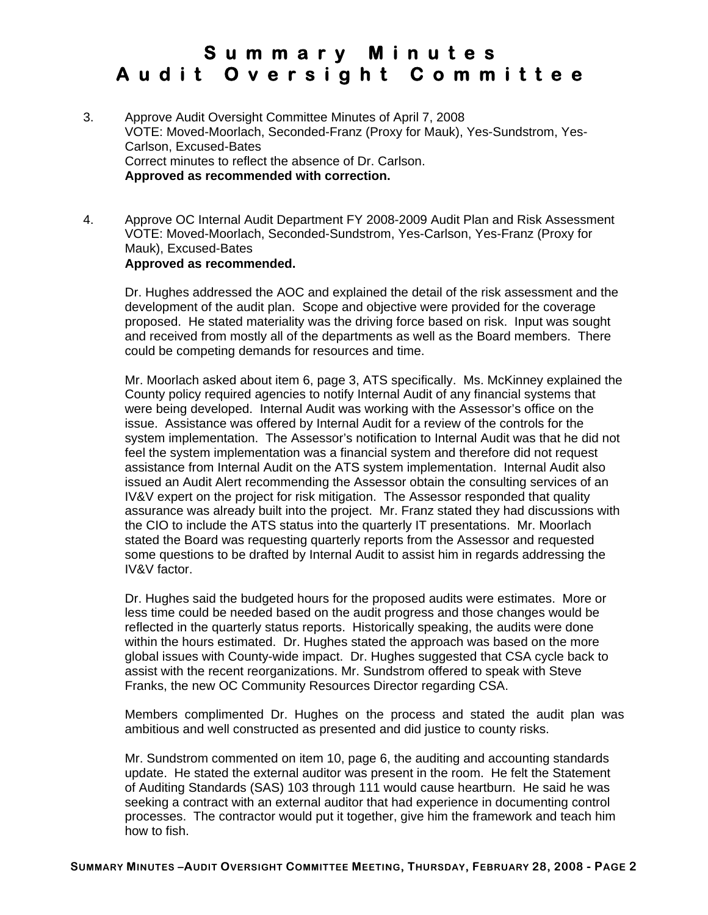- 3. Approve Audit Oversight Committee Minutes of April 7, 2008 VOTE: Moved-Moorlach, Seconded-Franz (Proxy for Mauk), Yes-Sundstrom, Yes-Carlson, Excused-Bates Correct minutes to reflect the absence of Dr. Carlson. **Approved as recommended with correction.**
- 4. Approve OC Internal Audit Department FY 2008-2009 Audit Plan and Risk Assessment VOTE: Moved-Moorlach, Seconded-Sundstrom, Yes-Carlson, Yes-Franz (Proxy for Mauk), Excused-Bates **Approved as recommended.**

Dr. Hughes addressed the AOC and explained the detail of the risk assessment and the development of the audit plan. Scope and objective were provided for the coverage proposed. He stated materiality was the driving force based on risk. Input was sought and received from mostly all of the departments as well as the Board members. There could be competing demands for resources and time.

Mr. Moorlach asked about item 6, page 3, ATS specifically. Ms. McKinney explained the County policy required agencies to notify Internal Audit of any financial systems that were being developed. Internal Audit was working with the Assessor's office on the issue. Assistance was offered by Internal Audit for a review of the controls for the system implementation. The Assessor's notification to Internal Audit was that he did not feel the system implementation was a financial system and therefore did not request assistance from Internal Audit on the ATS system implementation. Internal Audit also issued an Audit Alert recommending the Assessor obtain the consulting services of an IV&V expert on the project for risk mitigation. The Assessor responded that quality assurance was already built into the project. Mr. Franz stated they had discussions with the CIO to include the ATS status into the quarterly IT presentations. Mr. Moorlach stated the Board was requesting quarterly reports from the Assessor and requested some questions to be drafted by Internal Audit to assist him in regards addressing the IV&V factor.

Dr. Hughes said the budgeted hours for the proposed audits were estimates. More or less time could be needed based on the audit progress and those changes would be reflected in the quarterly status reports. Historically speaking, the audits were done within the hours estimated. Dr. Hughes stated the approach was based on the more global issues with County-wide impact. Dr. Hughes suggested that CSA cycle back to assist with the recent reorganizations. Mr. Sundstrom offered to speak with Steve Franks, the new OC Community Resources Director regarding CSA.

Members complimented Dr. Hughes on the process and stated the audit plan was ambitious and well constructed as presented and did justice to county risks.

Mr. Sundstrom commented on item 10, page 6, the auditing and accounting standards update. He stated the external auditor was present in the room. He felt the Statement of Auditing Standards (SAS) 103 through 111 would cause heartburn. He said he was seeking a contract with an external auditor that had experience in documenting control processes. The contractor would put it together, give him the framework and teach him how to fish.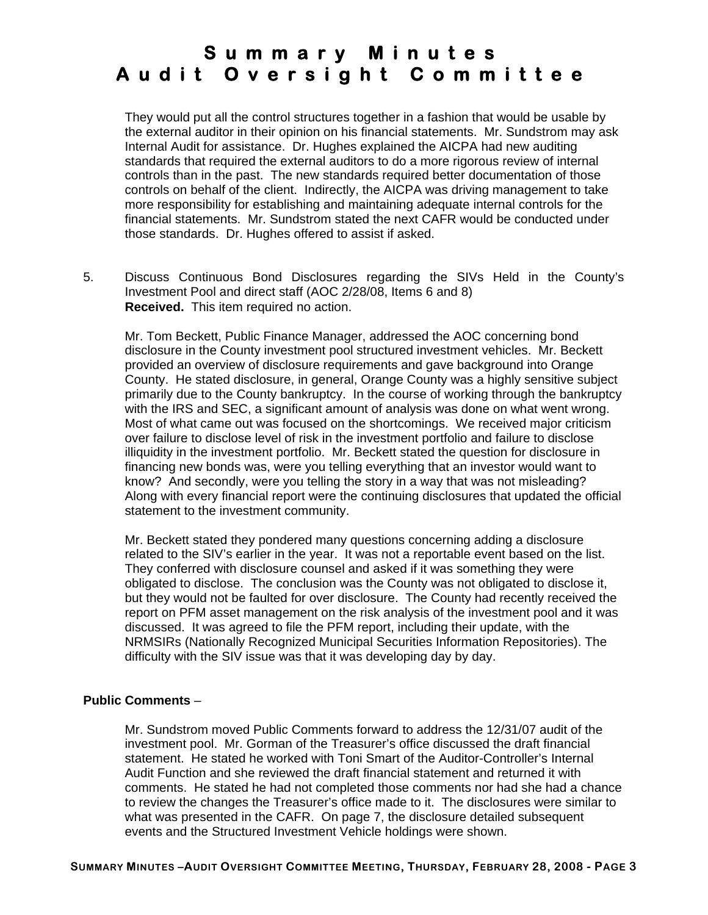They would put all the control structures together in a fashion that would be usable by the external auditor in their opinion on his financial statements. Mr. Sundstrom may ask Internal Audit for assistance. Dr. Hughes explained the AICPA had new auditing standards that required the external auditors to do a more rigorous review of internal controls than in the past. The new standards required better documentation of those controls on behalf of the client. Indirectly, the AICPA was driving management to take more responsibility for establishing and maintaining adequate internal controls for the financial statements. Mr. Sundstrom stated the next CAFR would be conducted under those standards. Dr. Hughes offered to assist if asked.

5. Discuss Continuous Bond Disclosures regarding the SIVs Held in the County's Investment Pool and direct staff (AOC 2/28/08, Items 6 and 8) **Received.** This item required no action.

Mr. Tom Beckett, Public Finance Manager, addressed the AOC concerning bond disclosure in the County investment pool structured investment vehicles. Mr. Beckett provided an overview of disclosure requirements and gave background into Orange County. He stated disclosure, in general, Orange County was a highly sensitive subject primarily due to the County bankruptcy. In the course of working through the bankruptcy with the IRS and SEC, a significant amount of analysis was done on what went wrong. Most of what came out was focused on the shortcomings. We received major criticism over failure to disclose level of risk in the investment portfolio and failure to disclose illiquidity in the investment portfolio. Mr. Beckett stated the question for disclosure in financing new bonds was, were you telling everything that an investor would want to know? And secondly, were you telling the story in a way that was not misleading? Along with every financial report were the continuing disclosures that updated the official statement to the investment community.

Mr. Beckett stated they pondered many questions concerning adding a disclosure related to the SIV's earlier in the year. It was not a reportable event based on the list. They conferred with disclosure counsel and asked if it was something they were obligated to disclose. The conclusion was the County was not obligated to disclose it, but they would not be faulted for over disclosure. The County had recently received the report on PFM asset management on the risk analysis of the investment pool and it was discussed. It was agreed to file the PFM report, including their update, with the NRMSIRs (Nationally Recognized Municipal Securities Information Repositories). The difficulty with the SIV issue was that it was developing day by day.

#### **Public Comments** –

Mr. Sundstrom moved Public Comments forward to address the 12/31/07 audit of the investment pool. Mr. Gorman of the Treasurer's office discussed the draft financial statement. He stated he worked with Toni Smart of the Auditor-Controller's Internal Audit Function and she reviewed the draft financial statement and returned it with comments. He stated he had not completed those comments nor had she had a chance to review the changes the Treasurer's office made to it. The disclosures were similar to what was presented in the CAFR. On page 7, the disclosure detailed subsequent events and the Structured Investment Vehicle holdings were shown.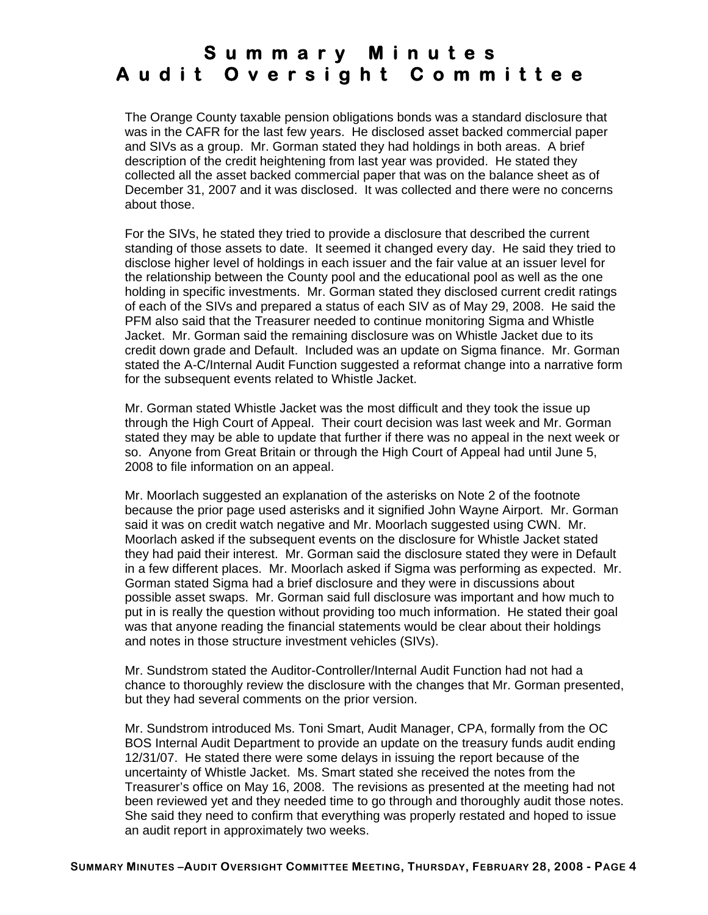The Orange County taxable pension obligations bonds was a standard disclosure that was in the CAFR for the last few years. He disclosed asset backed commercial paper and SIVs as a group. Mr. Gorman stated they had holdings in both areas. A brief description of the credit heightening from last year was provided. He stated they collected all the asset backed commercial paper that was on the balance sheet as of December 31, 2007 and it was disclosed. It was collected and there were no concerns about those.

For the SIVs, he stated they tried to provide a disclosure that described the current standing of those assets to date. It seemed it changed every day. He said they tried to disclose higher level of holdings in each issuer and the fair value at an issuer level for the relationship between the County pool and the educational pool as well as the one holding in specific investments. Mr. Gorman stated they disclosed current credit ratings of each of the SIVs and prepared a status of each SIV as of May 29, 2008. He said the PFM also said that the Treasurer needed to continue monitoring Sigma and Whistle Jacket. Mr. Gorman said the remaining disclosure was on Whistle Jacket due to its credit down grade and Default. Included was an update on Sigma finance. Mr. Gorman stated the A-C/Internal Audit Function suggested a reformat change into a narrative form for the subsequent events related to Whistle Jacket.

Mr. Gorman stated Whistle Jacket was the most difficult and they took the issue up through the High Court of Appeal. Their court decision was last week and Mr. Gorman stated they may be able to update that further if there was no appeal in the next week or so. Anyone from Great Britain or through the High Court of Appeal had until June 5, 2008 to file information on an appeal.

Mr. Moorlach suggested an explanation of the asterisks on Note 2 of the footnote because the prior page used asterisks and it signified John Wayne Airport. Mr. Gorman said it was on credit watch negative and Mr. Moorlach suggested using CWN. Mr. Moorlach asked if the subsequent events on the disclosure for Whistle Jacket stated they had paid their interest. Mr. Gorman said the disclosure stated they were in Default in a few different places. Mr. Moorlach asked if Sigma was performing as expected. Mr. Gorman stated Sigma had a brief disclosure and they were in discussions about possible asset swaps. Mr. Gorman said full disclosure was important and how much to put in is really the question without providing too much information. He stated their goal was that anyone reading the financial statements would be clear about their holdings and notes in those structure investment vehicles (SIVs).

Mr. Sundstrom stated the Auditor-Controller/Internal Audit Function had not had a chance to thoroughly review the disclosure with the changes that Mr. Gorman presented, but they had several comments on the prior version.

Mr. Sundstrom introduced Ms. Toni Smart, Audit Manager, CPA, formally from the OC BOS Internal Audit Department to provide an update on the treasury funds audit ending 12/31/07. He stated there were some delays in issuing the report because of the uncertainty of Whistle Jacket. Ms. Smart stated she received the notes from the Treasurer's office on May 16, 2008. The revisions as presented at the meeting had not been reviewed yet and they needed time to go through and thoroughly audit those notes. She said they need to confirm that everything was properly restated and hoped to issue an audit report in approximately two weeks.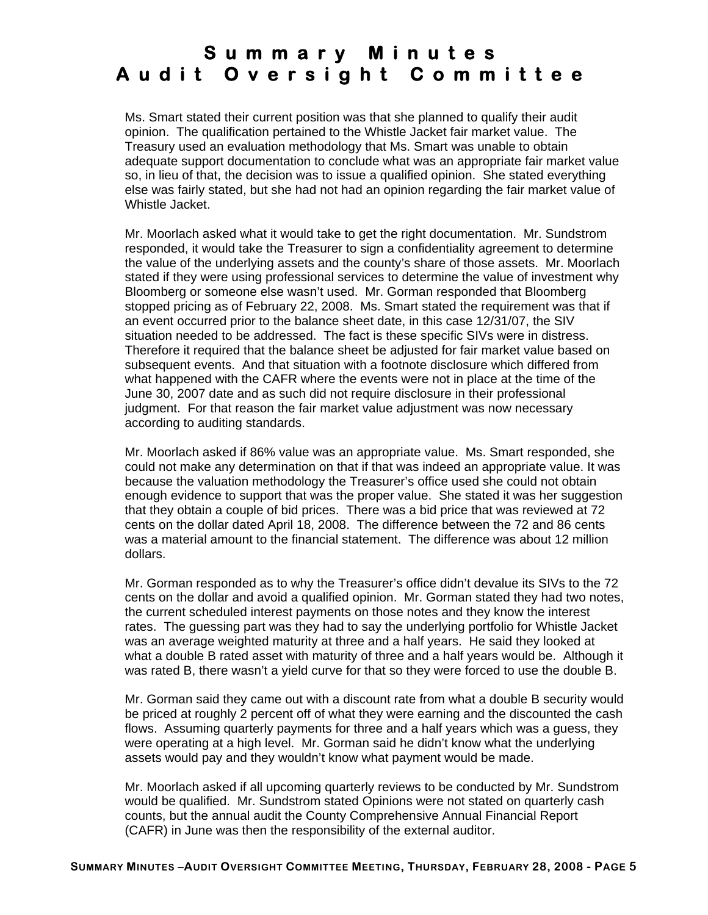Ms. Smart stated their current position was that she planned to qualify their audit opinion. The qualification pertained to the Whistle Jacket fair market value. The Treasury used an evaluation methodology that Ms. Smart was unable to obtain adequate support documentation to conclude what was an appropriate fair market value so, in lieu of that, the decision was to issue a qualified opinion. She stated everything else was fairly stated, but she had not had an opinion regarding the fair market value of Whistle Jacket.

Mr. Moorlach asked what it would take to get the right documentation. Mr. Sundstrom responded, it would take the Treasurer to sign a confidentiality agreement to determine the value of the underlying assets and the county's share of those assets. Mr. Moorlach stated if they were using professional services to determine the value of investment why Bloomberg or someone else wasn't used. Mr. Gorman responded that Bloomberg stopped pricing as of February 22, 2008. Ms. Smart stated the requirement was that if an event occurred prior to the balance sheet date, in this case 12/31/07, the SIV situation needed to be addressed. The fact is these specific SIVs were in distress. Therefore it required that the balance sheet be adjusted for fair market value based on subsequent events. And that situation with a footnote disclosure which differed from what happened with the CAFR where the events were not in place at the time of the June 30, 2007 date and as such did not require disclosure in their professional judgment. For that reason the fair market value adjustment was now necessary according to auditing standards.

Mr. Moorlach asked if 86% value was an appropriate value. Ms. Smart responded, she could not make any determination on that if that was indeed an appropriate value. It was because the valuation methodology the Treasurer's office used she could not obtain enough evidence to support that was the proper value. She stated it was her suggestion that they obtain a couple of bid prices. There was a bid price that was reviewed at 72 cents on the dollar dated April 18, 2008. The difference between the 72 and 86 cents was a material amount to the financial statement. The difference was about 12 million dollars.

Mr. Gorman responded as to why the Treasurer's office didn't devalue its SIVs to the 72 cents on the dollar and avoid a qualified opinion. Mr. Gorman stated they had two notes, the current scheduled interest payments on those notes and they know the interest rates. The guessing part was they had to say the underlying portfolio for Whistle Jacket was an average weighted maturity at three and a half years. He said they looked at what a double B rated asset with maturity of three and a half years would be. Although it was rated B, there wasn't a yield curve for that so they were forced to use the double B.

Mr. Gorman said they came out with a discount rate from what a double B security would be priced at roughly 2 percent off of what they were earning and the discounted the cash flows. Assuming quarterly payments for three and a half years which was a guess, they were operating at a high level. Mr. Gorman said he didn't know what the underlying assets would pay and they wouldn't know what payment would be made.

Mr. Moorlach asked if all upcoming quarterly reviews to be conducted by Mr. Sundstrom would be qualified. Mr. Sundstrom stated Opinions were not stated on quarterly cash counts, but the annual audit the County Comprehensive Annual Financial Report (CAFR) in June was then the responsibility of the external auditor.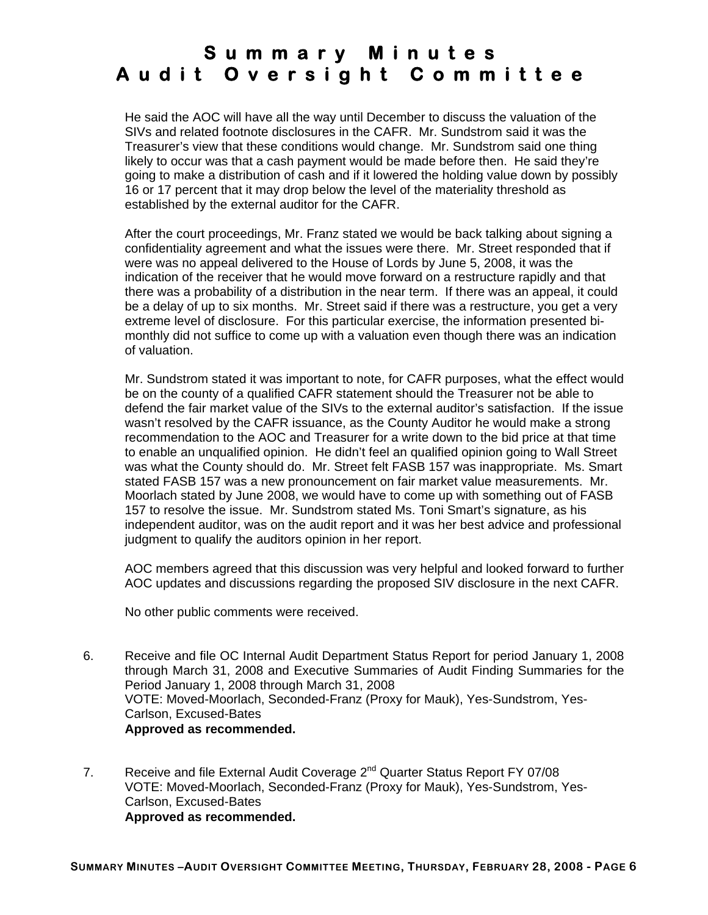He said the AOC will have all the way until December to discuss the valuation of the SIVs and related footnote disclosures in the CAFR. Mr. Sundstrom said it was the Treasurer's view that these conditions would change. Mr. Sundstrom said one thing likely to occur was that a cash payment would be made before then. He said they're going to make a distribution of cash and if it lowered the holding value down by possibly 16 or 17 percent that it may drop below the level of the materiality threshold as established by the external auditor for the CAFR.

After the court proceedings, Mr. Franz stated we would be back talking about signing a confidentiality agreement and what the issues were there. Mr. Street responded that if were was no appeal delivered to the House of Lords by June 5, 2008, it was the indication of the receiver that he would move forward on a restructure rapidly and that there was a probability of a distribution in the near term. If there was an appeal, it could be a delay of up to six months. Mr. Street said if there was a restructure, you get a very extreme level of disclosure. For this particular exercise, the information presented bimonthly did not suffice to come up with a valuation even though there was an indication of valuation.

Mr. Sundstrom stated it was important to note, for CAFR purposes, what the effect would be on the county of a qualified CAFR statement should the Treasurer not be able to defend the fair market value of the SIVs to the external auditor's satisfaction. If the issue wasn't resolved by the CAFR issuance, as the County Auditor he would make a strong recommendation to the AOC and Treasurer for a write down to the bid price at that time to enable an unqualified opinion. He didn't feel an qualified opinion going to Wall Street was what the County should do. Mr. Street felt FASB 157 was inappropriate. Ms. Smart stated FASB 157 was a new pronouncement on fair market value measurements. Mr. Moorlach stated by June 2008, we would have to come up with something out of FASB 157 to resolve the issue. Mr. Sundstrom stated Ms. Toni Smart's signature, as his independent auditor, was on the audit report and it was her best advice and professional judgment to qualify the auditors opinion in her report.

AOC members agreed that this discussion was very helpful and looked forward to further AOC updates and discussions regarding the proposed SIV disclosure in the next CAFR.

No other public comments were received.

- 6. Receive and file OC Internal Audit Department Status Report for period January 1, 2008 through March 31, 2008 and Executive Summaries of Audit Finding Summaries for the Period January 1, 2008 through March 31, 2008 VOTE: Moved-Moorlach, Seconded-Franz (Proxy for Mauk), Yes-Sundstrom, Yes-Carlson, Excused-Bates **Approved as recommended.**
- 7. Receive and file External Audit Coverage  $2^{nd}$  Quarter Status Report FY 07/08 VOTE: Moved-Moorlach, Seconded-Franz (Proxy for Mauk), Yes-Sundstrom, Yes-Carlson, Excused-Bates **Approved as recommended.**